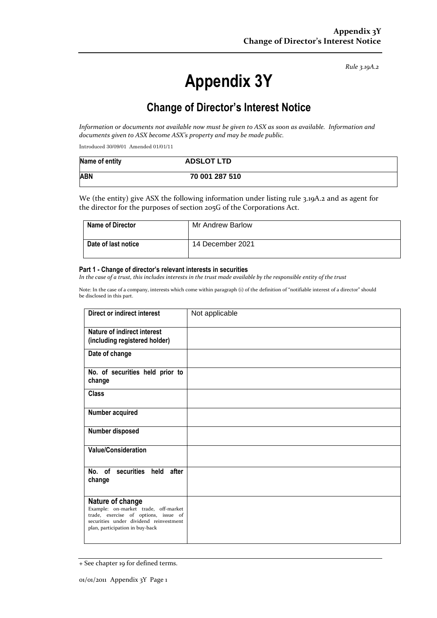*Rule 3.19A.2*

# **Appendix 3Y**

# **Change of Director's Interest Notice**

*Information or documents not available now must be given to ASX as soon as available. Information and documents given to ASX become ASX's property and may be made public.*

Introduced 30/09/01 Amended 01/01/11

| Name of entity | <b>ADSLOT LTD</b> |
|----------------|-------------------|
| <b>ABN</b>     | 70 001 287 510    |

We (the entity) give ASX the following information under listing rule 3.19A.2 and as agent for the director for the purposes of section 205G of the Corporations Act.

| Name of Director           | Mr Andrew Barlow |
|----------------------------|------------------|
| <b>Date of last notice</b> | 14 December 2021 |

#### **Part 1 - Change of director's relevant interests in securities**

*In the case of a trust, this includes interests in the trust made available by the responsible entity of the trust*

Note: In the case of a company, interests which come within paragraph (i) of the definition of "notifiable interest of a director" should be disclosed in this part.

| Direct or indirect interest                                                                                                                                                   | Not applicable |
|-------------------------------------------------------------------------------------------------------------------------------------------------------------------------------|----------------|
| Nature of indirect interest<br>(including registered holder)                                                                                                                  |                |
| Date of change                                                                                                                                                                |                |
| No. of securities held prior to<br>change                                                                                                                                     |                |
| <b>Class</b>                                                                                                                                                                  |                |
| Number acquired                                                                                                                                                               |                |
| Number disposed                                                                                                                                                               |                |
| <b>Value/Consideration</b>                                                                                                                                                    |                |
| No. of securities held after<br>change                                                                                                                                        |                |
| Nature of change<br>Example: on-market trade, off-market<br>trade, exercise of options, issue of<br>securities under dividend reinvestment<br>plan, participation in buy-back |                |

<sup>+</sup> See chapter 19 for defined terms.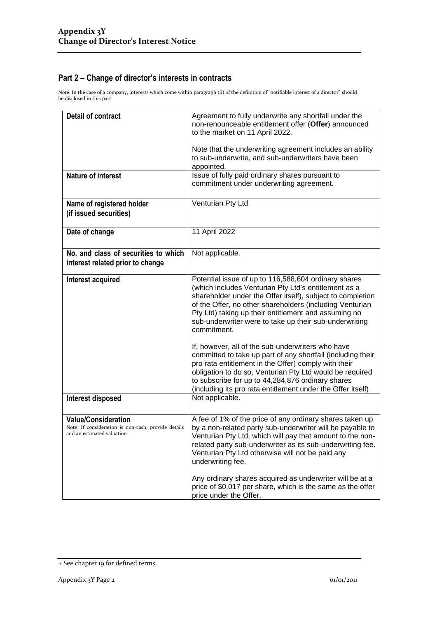## **Part 2 – Change of director's interests in contracts**

Note: In the case of a company, interests which come within paragraph (ii) of the definition of "notifiable interest of a director" should be disclosed in this part.

| <b>Detail of contract</b>                                                                                       | Agreement to fully underwrite any shortfall under the<br>non-renounceable entitlement offer (Offer) announced<br>to the market on 11 April 2022.                                                                                                                                                                                                                                                                                                                                            |  |
|-----------------------------------------------------------------------------------------------------------------|---------------------------------------------------------------------------------------------------------------------------------------------------------------------------------------------------------------------------------------------------------------------------------------------------------------------------------------------------------------------------------------------------------------------------------------------------------------------------------------------|--|
|                                                                                                                 | Note that the underwriting agreement includes an ability<br>to sub-underwrite, and sub-underwriters have been<br>appointed.                                                                                                                                                                                                                                                                                                                                                                 |  |
| <b>Nature of interest</b>                                                                                       | Issue of fully paid ordinary shares pursuant to<br>commitment under underwriting agreement.                                                                                                                                                                                                                                                                                                                                                                                                 |  |
| Name of registered holder<br>(if issued securities)                                                             | Venturian Pty Ltd                                                                                                                                                                                                                                                                                                                                                                                                                                                                           |  |
| Date of change                                                                                                  | 11 April 2022                                                                                                                                                                                                                                                                                                                                                                                                                                                                               |  |
| No. and class of securities to which<br>interest related prior to change                                        | Not applicable.                                                                                                                                                                                                                                                                                                                                                                                                                                                                             |  |
| Interest acquired                                                                                               | Potential issue of up to 116,588,604 ordinary shares<br>(which includes Venturian Pty Ltd's entitlement as a<br>shareholder under the Offer itself), subject to completion<br>of the Offer, no other shareholders (including Venturian<br>Pty Ltd) taking up their entitlement and assuming no<br>sub-underwriter were to take up their sub-underwriting<br>commitment.<br>If, however, all of the sub-underwriters who have<br>committed to take up part of any shortfall (including their |  |
|                                                                                                                 | pro rata entitlement in the Offer) comply with their<br>obligation to do so, Venturian Pty Ltd would be required<br>to subscribe for up to 44,284,876 ordinary shares<br>(including its pro rata entitlement under the Offer itself).                                                                                                                                                                                                                                                       |  |
| Interest disposed                                                                                               | Not applicable.                                                                                                                                                                                                                                                                                                                                                                                                                                                                             |  |
| <b>Value/Consideration</b><br>Note: If consideration is non-cash, provide details<br>and an estimated valuation | A fee of 1% of the price of any ordinary shares taken up<br>by a non-related party sub-underwriter will be payable to<br>Venturian Pty Ltd, which will pay that amount to the non-<br>related party sub-underwriter as its sub-underwriting fee.<br>Venturian Pty Ltd otherwise will not be paid any<br>underwriting fee.                                                                                                                                                                   |  |
|                                                                                                                 | Any ordinary shares acquired as underwriter will be at a<br>price of \$0.017 per share, which is the same as the offer<br>price under the Offer.                                                                                                                                                                                                                                                                                                                                            |  |

<sup>+</sup> See chapter 19 for defined terms.